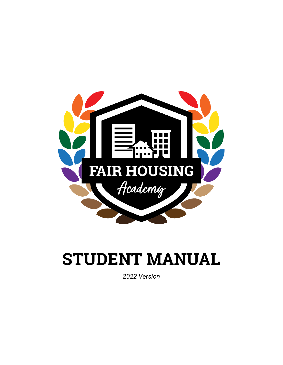

# **STUDENT MANUAL**

*2022 Version*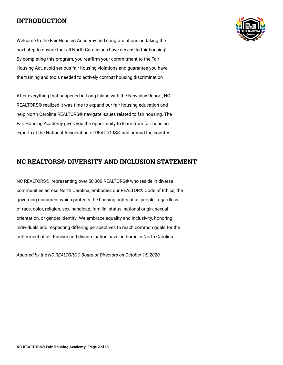#### **INTRODUCTION**

Welcome to the Fair Housing Academy and congratulations on taking the next step to ensure that all North Carolinians have access to fair housing! By completing this program, you reaffirm your commitment to the Fair Housing Act, avoid serious fair housing violations and guarantee you have the training and tools needed to actively combat housing discrimination

After everything that happened in Long Island with the Newsday Report, NC REALTORS® realized it was time to expand our fair housing education and help North Carolina REALTORS® navigate issues related to fair housing. The Fair Housing Academy gives you the opportunity to learn from fair housing experts at the National Association of REALTORS® and around the country.



NC REALTORS®, representing over 50,000 REALTORS® who reside in diverse communities across North Carolina, embodies our REALTOR® Code of Ethics, the governing document which protects the housing rights of all people, regardless of race, color, religion, sex, handicap, familial status, national origin, sexual orientation, or gender identity. We embrace equality and inclusivity, honoring individuals and respecting differing perspectives to reach common goals for the betterment of all. Racism and discrimination have no home in North Carolina.

*Adopted by the NC REALTORS® Board of Directors on October 15, 2020*

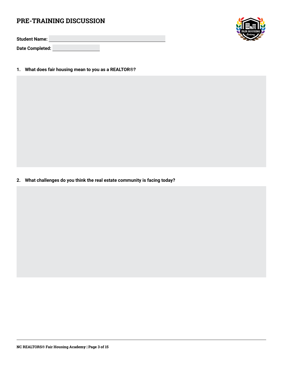#### **PRE-TRAINING DISCUSSION**

**Student Name:**

**Date Completed:**

**1. What does fair housing mean to you as a REALTOR®?**

**2. What challenges do you think the real estate community is facing today?**

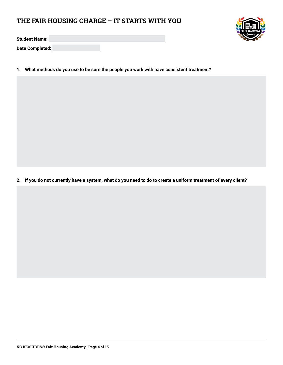#### **THE FAIR HOUSING CHARGE – IT STARTS WITH YOU**

**Student Name:**

**Date Completed:**

**1. What methods do you use to be sure the people you work with have consistent treatment?**

**2. If you do not currently have a system, what do you need to do to create a uniform treatment of every client?**

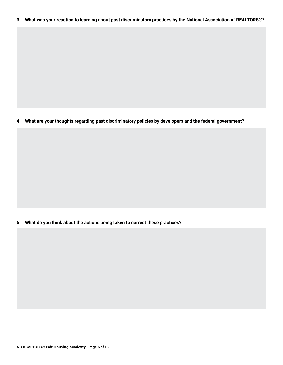**3. What was your reaction to learning about past discriminatory practices by the National Association of REALTORS®?**

**4. What are your thoughts regarding past discriminatory policies by developers and the federal government?**

**5. What do you think about the actions being taken to correct these practices?**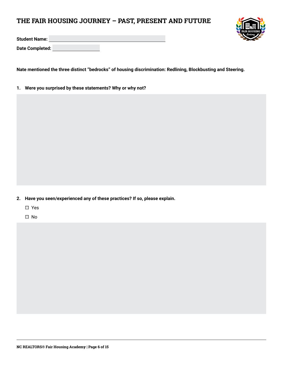### **THE FAIR HOUSING JOURNEY – PAST, PRESENT AND FUTURE**



**Student Name:**

**Date Completed:**

**Nate mentioned the three distinct "bedrocks" of housing discrimination: Redlining, Blockbusting and Steering.**

**1. Were you surprised by these statements? Why or why not?** 

- **2. Have you seen/experienced any of these practices? If so, please explain.**
	- Yes
	- □ No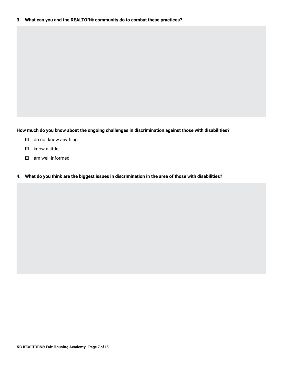**How much do you know about the ongoing challenges in discrimination against those with disabilities?**

- $\Box$  I do not know anything.
- $\Box$  I know a little.
- $\Box$  I am well-informed.
- **4. What do you think are the biggest issues in discrimination in the area of those with disabilities?**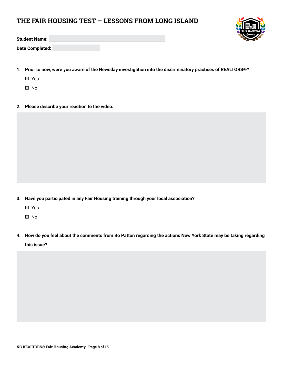#### **THE FAIR HOUSING TEST – LESSONS FROM LONG ISLAND**



**Student Name:**

**Date Completed:**

**1. Prior to now, were you aware of the Newsday investigation into the discriminatory practices of REALTORS®?**

Yes

- □ No
- **2. Please describe your reaction to the video.**

**3. Have you participated in any Fair Housing training through your local association?**

Yes

□ No

**4. How do you feel about the comments from Bo Patton regarding the actions New York State may be taking regarding this issue?**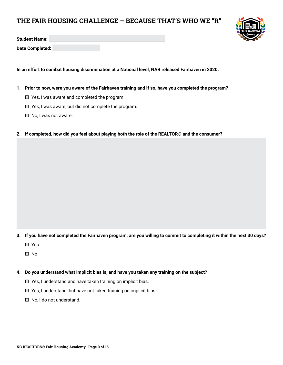#### **THE FAIR HOUSING CHALLENGE – BECAUSE THAT'S WHO WE "R"**



**Date Completed:**

**In an effort to combat housing discrimination at a National level, NAR released Fairhaven in 2020.**

- **1. Prior to now, were you aware of the Fairhaven training and if so, have you completed the program?**
	- $\Box$  Yes, I was aware and completed the program.
	- $\Box$  Yes, I was aware, but did not complete the program.
	- $\Box$  No, I was not aware.
- **2. If completed, how did you feel about playing both the role of the REALTOR® and the consumer?**

- **3. If you have not completed the Fairhaven program, are you willing to commit to completing it within the next 30 days?**
	- Yes
	- □ No
- **4. Do you understand what implicit bias is, and have you taken any training on the subject?**
	- $\Box$  Yes, I understand and have taken training on implicit bias.
	- $\Box$  Yes, I understand, but have not taken training on implicit bias.
	- □ No, I do not understand.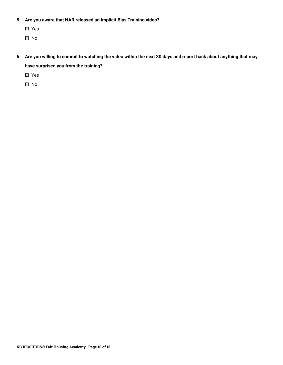- **5. Are you aware that NAR released an Implicit Bias Training video?**
	- Yes
	- □ No
- **6. Are you willing to commit to watching the video within the next 30 days and report back about anything that may have surprised you from the training?**
	- Yes
	- □ No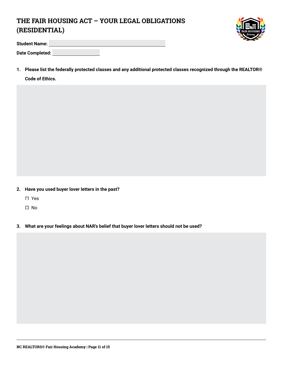## **THE FAIR HOUSING ACT – YOUR LEGAL OBLIGATIONS (RESIDENTIAL)**



| <b>Student Name:</b> |  |
|----------------------|--|
| Date Completed:      |  |

**1. Please list the federally protected classes and any additional protected classes recognized through the REALTOR® Code of Ethics.**

- **2. Have you used buyer lover letters in the past?** 
	- □ Yes
	- No
- **3. What are your feelings about NAR's belief that buyer lover letters should not be used?**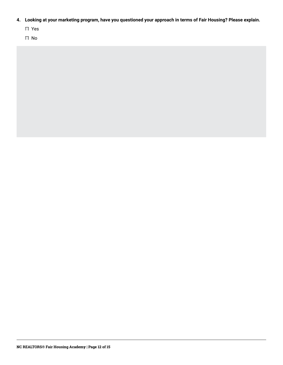- **4. Looking at your marketing program, have you questioned your approach in terms of Fair Housing? Please explain.**
	- Yes
	- No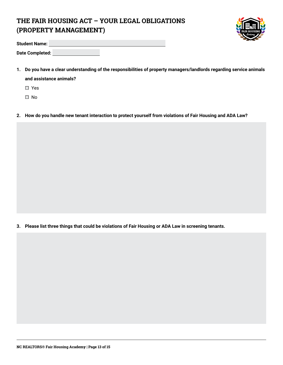## **THE FAIR HOUSING ACT – YOUR LEGAL OBLIGATIONS (PROPERTY MANAGEMENT)**



| <b>Student Name:</b> |  |
|----------------------|--|
| Date Completed:      |  |

**1. Do you have a clear understanding of the responsibilities of property managers/landlords regarding service animals and assistance animals?**

□ Yes

□ No

**2. How do you handle new tenant interaction to protect yourself from violations of Fair Housing and ADA Law?**

**3. Please list three things that could be violations of Fair Housing or ADA Law in screening tenants.**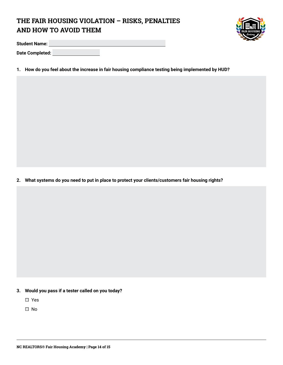## **THE FAIR HOUSING VIOLATION – RISKS, PENALTIES AND HOW TO AVOID THEM**



**Student Name:**

**Date Completed:**

**1. How do you feel about the increase in fair housing compliance testing being implemented by HUD?**

**2. What systems do you need to put in place to protect your clients/customers fair housing rights?**

- **3. Would you pass if a tester called on you today?**
	- Yes
	- □ No